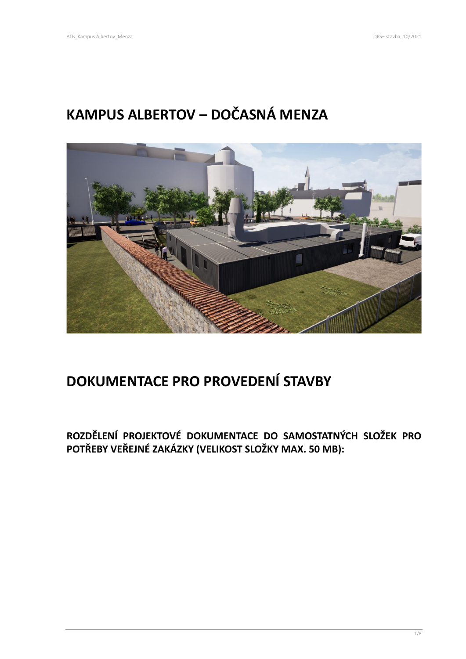# **KAMPUS ALBERTOV – DOČASNÁ MENZA**



# **DOKUMENTACE PRO PROVEDENÍ STAVBY**

**ROZDĚLENÍ PROJEKTOVÉ DOKUMENTACE DO SAMOSTATNÝCH SLOŽEK PRO POTŘEBY VEŘEJNÉ ZAKÁZKY (VELIKOST SLOŽKY MAX. 50 MB):**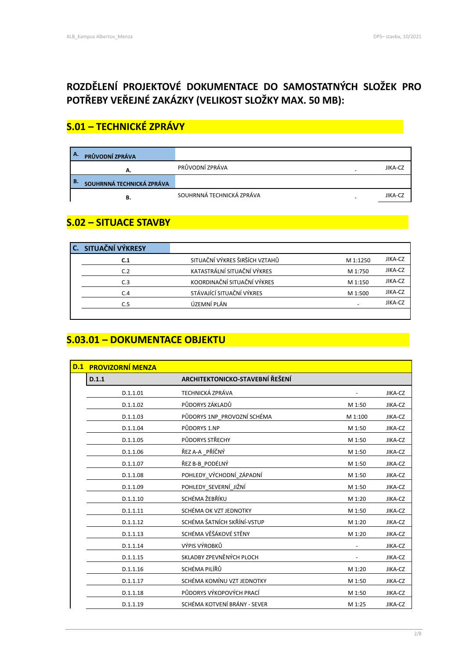## **ROZDĚLENÍ PROJEKTOVÉ DOKUMENTACE DO SAMOSTATNÝCH SLOŽEK PRO POTŘEBY VEŘEJNÉ ZAKÁZKY (VELIKOST SLOŽKY MAX. 50 MB):**

## **S.01 – TECHNICKÉ ZPRÁVY .**

| А.<br>PRŮVODNÍ ZPRÁVA           |                           |         |
|---------------------------------|---------------------------|---------|
| А.                              | PRŮVODNÍ ZPRÁVA           | JIKA-CZ |
| В.<br>SOUHRNNÁ TECHNICKÁ ZPRÁVA |                           |         |
| в.                              | SOUHRNNÁ TECHNICKÁ ZPRÁVA | JIKA-CZ |

#### **S.02 – SITUACE STAVBY .**

|  | C. SITUAČNÍ VÝKRESY |                                |          |         |
|--|---------------------|--------------------------------|----------|---------|
|  | C.1                 | SITUAČNÍ VÝKRES ŠIRŠÍCH VZTAHŮ | M 1:1250 | JIKA-CZ |
|  | C.2                 | KATASTRÁLNÍ SITUAČNÍ VÝKRES    | M 1:750  | JIKA-CZ |
|  | C.3                 | KOORDINAČNÍ SITUAČNÍ VÝKRES    | M 1:150  | JIKA-CZ |
|  | C.4                 | STÁVAJÍCÍ SITUAČNÍ VÝKRES      | M 1:500  | JIKA-CZ |
|  | C.5                 | ÚZEMNÍ PLÁN                    |          | JIKA-CZ |
|  |                     |                                |          |         |

#### **S.03.01 – DOKUMENTACE OBJEKTU .**

| D.1 | <b>PROVIZORNÍ MENZA</b> |                                 |         |         |
|-----|-------------------------|---------------------------------|---------|---------|
|     | D.1.1                   | ARCHITEKTONICKO-STAVEBNÍ ŘEŠENÍ |         |         |
|     | D.1.1.01                | <b>TECHNICKÁ ZPRÁVA</b>         |         | JIKA-CZ |
|     | D.1.1.02                | PŮDORYS ZÁKLADŮ                 | M 1:50  | JIKA-CZ |
|     | D.1.1.03                | PŮDORYS 1NP_PROVOZNÍ SCHÉMA     | M 1:100 | JIKA-CZ |
|     | D.1.1.04                | PŮDORYS 1.NP                    | M 1:50  | JIKA-CZ |
|     | D.1.1.05                | PŮDORYS STŘECHY                 | M 1:50  | JIKA-CZ |
|     | D.1.1.06                | ŘEZ A-A _PŘÍČNÝ                 | M 1:50  | JIKA-CZ |
|     | D.1.1.07                | ŘEZ B-B_PODÉLNÝ                 | M 1:50  | JIKA-CZ |
|     | D.1.1.08                | POHLEDY_VÝCHODNÍ_ZÁPADNÍ        | M 1:50  | JIKA-CZ |
|     | D.1.1.09                | POHLEDY SEVERNÍ JIŽNÍ           | M 1:50  | JIKA-CZ |
|     | D.1.1.10                | SCHÉMA ŽEBŘÍKU                  | M 1:20  | JIKA-CZ |
|     | D.1.1.11                | SCHÉMA OK VZT JEDNOTKY          | M 1:50  | JIKA-CZ |
|     | D.1.1.12                | SCHÉMA ŠATNÍCH SKŘÍNÍ-VSTUP     | M 1:20  | JIKA-CZ |
|     | D.1.1.13                | SCHÉMA VĚŠÁKOVÉ STĚNY           | M 1:20  | JIKA-CZ |
|     | D.1.1.14                | VÝPIS VÝROBKŮ                   |         | JIKA-CZ |
|     | D.1.1.15                | SKLADBY ZPEVNĚNÝCH PLOCH        |         | JIKA-CZ |
|     | D.1.1.16                | SCHÉMA PILÍŘŮ                   | M 1:20  | JIKA-CZ |
|     | D.1.1.17                | SCHÉMA KOMÍNU VZT JEDNOTKY      | M 1:50  | JIKA-CZ |
|     | D.1.1.18                | PŮDORYS VÝKOPOVÝCH PRACÍ        | M 1:50  | JIKA-CZ |
|     | D.1.1.19                | SCHÉMA KOTVENÍ BRÁNY - SEVER    | M 1:25  | JIKA-CZ |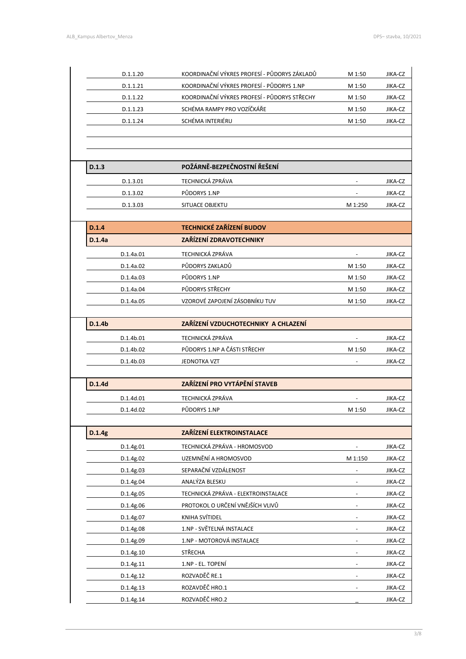|        | D.1.1.20  | KOORDINAČNÍ VÝKRES PROFESÍ - PŮDORYS ZÁKLADŮ | M 1:50  | JIKA-CZ |
|--------|-----------|----------------------------------------------|---------|---------|
|        | D.1.1.21  | KOORDINAČNÍ VÝKRES PROFESÍ - PŮDORYS 1.NP    | M 1:50  | JIKA-CZ |
|        | D.1.1.22  | KOORDINAČNÍ VÝKRES PROFESÍ - PŮDORYS STŘECHY | M 1:50  | JIKA-CZ |
|        | D.1.1.23  | SCHÉMA RAMPY PRO VOZÍČKÁŘE                   | M 1:50  | JIKA-CZ |
|        | D.1.1.24  | SCHÉMA INTERIÉRU                             | M 1:50  | JIKA-CZ |
|        |           |                                              |         |         |
|        |           |                                              |         |         |
| D.1.3  |           | POŽÁRNĚ-BEZPEČNOSTNÍ ŘEŠENÍ                  |         |         |
|        | D.1.3.01  | TECHNICKÁ ZPRÁVA                             |         | JIKA-CZ |
|        | D.1.3.02  | PŮDORYS 1.NP                                 |         | JIKA-CZ |
|        | D.1.3.03  | SITUACE OBJEKTU                              | M 1:250 | JIKA-CZ |
|        |           |                                              |         |         |
| D.1.4  |           | <b>TECHNICKÉ ZAŘÍZENÍ BUDOV</b>              |         |         |
| D.1.4a |           | ZAŘÍZENÍ ZDRAVOTECHNIKY                      |         |         |
|        | D.1.4a.01 | TECHNICKÁ ZPRÁVA                             |         | JIKA-CZ |
|        | D.1.4a.02 | PŮDORYS ZAKLADŮ                              | M 1:50  | JIKA-CZ |
|        | D.1.4a.03 | PŮDORYS 1.NP                                 | M 1:50  | JIKA-CZ |
|        | D.1.4a.04 | PŮDORYS STŘECHY                              | M 1:50  | JIKA-CZ |
|        | D.1.4a.05 | VZOROVÉ ZAPOJENÍ ZÁSOBNÍKU TUV               | M 1:50  | JIKA-CZ |
| D.1.4b |           | ZAŘÍZENÍ VZDUCHOTECHNIKY A CHLAZENÍ          |         |         |
|        | D.1.4b.01 | TECHNICKÁ ZPRÁVA                             |         | JIKA-CZ |
|        | D.1.4b.02 | PŮDORYS 1.NP A ČÁSTI STŘECHY                 | M 1:50  | JIKA-CZ |
|        | D.1.4b.03 | JEDNOTKA VZT                                 |         | JIKA-CZ |
|        |           |                                              |         |         |
| D.1.4d |           | ZAŘÍZENÍ PRO VYTÁPĚNÍ STAVEB                 |         |         |
|        | D.1.4d.01 | <b>TECHNICKÁ ZPRÁVA</b>                      |         | JIKA-CZ |
|        | D.1.4d.02 | PŮDORYS 1.NP                                 | M 1:50  | JIKA-CZ |
| D.1.4g |           | <b>ZAŘÍZENÍ ELEKTROINSTALACE</b>             |         |         |
|        | D.1.4g.01 | TECHNICKÁ ZPRÁVA - HROMOSVOD                 |         | JIKA-CZ |
|        | D.1.4g.02 | UZEMNĚNÍ A HROMOSVOD                         | M 1:150 | JIKA-CZ |
|        | D.1.4g.03 | SEPARAČNÍ VZDÁLENOST                         |         | JIKA-CZ |
|        | D.1.4g.04 | ANALÝZA BLESKU                               |         | JIKA-CZ |
|        | D.1.4g.05 | TECHNICKÁ ZPRÁVA - ELEKTROINSTALACE          |         | JIKA-CZ |
|        | D.1.4g.06 | PROTOKOL O URČENÍ VNĚJŠÍCH VLIVŮ             |         | JIKA-CZ |
|        | D.1.4g.07 | KNIHA SVÍTIDEL                               |         | JIKA-CZ |
|        | D.1.4g.08 | 1.NP - SVĚTELNÁ INSTALACE                    |         | JIKA-CZ |
|        | D.1.4g.09 | 1.NP - MOTOROVÁ INSTALACE                    |         | JIKA-CZ |
|        | D.1.4g.10 | STŘECHA                                      |         | JIKA-CZ |
|        | D.1.4g.11 | 1.NP - EL. TOPENÍ                            |         | JIKA-CZ |
|        | D.1.4g.12 | ROZVADĚČ RE.1                                |         | JIKA-CZ |
|        |           |                                              |         |         |
|        | D.1.4g.13 | ROZAVDĚČ HRO.1                               |         | JIKA-CZ |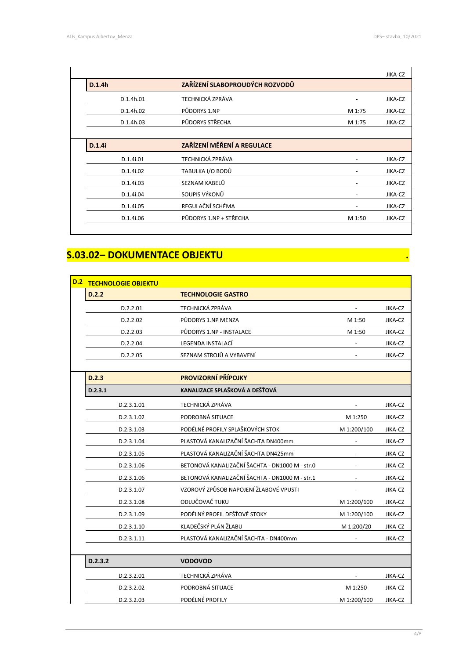I

ı

|           |                                |                          | JIKA-CZ |
|-----------|--------------------------------|--------------------------|---------|
| D.1.4h    | ZAŘÍZENÍ SLABOPROUDÝCH ROZVODŮ |                          |         |
| D.1.4h.01 | <b>TECHNICKÁ ZPRÁVA</b>        |                          | JIKA-CZ |
| D.1.4h.02 | PŮDORYS 1.NP                   | M 1:75                   | JIKA-CZ |
| D.1.4h.03 | PŮDORYS STŘECHA                | M 1:75                   | JIKA-CZ |
|           |                                |                          |         |
| D.1.4i    | ZAŘÍZENÍ MĚŘENÍ A REGULACE     |                          |         |
| D.1.4i.01 | <b>TECHNICKÁ ZPRÁVA</b>        |                          | JIKA-CZ |
| D.1.4i.02 | TABULKA I/O BODŮ               |                          | JIKA-CZ |
| D.1.4i.03 | SEZNAM KABELŮ                  |                          | JIKA-CZ |
| D.1.4i.04 | SOUPIS VÝKONŮ                  | $\overline{\phantom{a}}$ | JIKA-CZ |
|           |                                |                          |         |
| D.1.4i.05 | REGULAČNÍ SCHÉMA               |                          | JIKA-CZ |

#### **S.03.02– DOKUMENTACE OBJEKTU .**

| D.2 | <b>TECHNOLOGIE OBJEKTU</b> |                                                |             |         |
|-----|----------------------------|------------------------------------------------|-------------|---------|
|     | D.2.2                      | <b>TECHNOLOGIE GASTRO</b>                      |             |         |
|     | D.2.2.01                   | <b>TECHNICKÁ ZPRÁVA</b>                        |             | JIKA-CZ |
|     | D.2.2.02                   | PŮDORYS 1.NP MENZA                             | M 1:50      | JIKA-CZ |
|     | D.2.2.03                   | PŮDORYS 1.NP - INSTALACE                       | M 1:50      | JIKA-CZ |
|     | D.2.2.04                   | LEGENDA INSTALACÍ                              |             | JIKA-CZ |
|     | D.2.2.05                   | SEZNAM STROJŮ A VYBAVENÍ                       |             | JIKA-CZ |
|     |                            |                                                |             |         |
|     | D.2.3                      | PROVIZORNÍ PŘÍPOJKY                            |             |         |
|     | D.2.3.1                    | KANALIZACE SPLAŠKOVÁ A DEŠŤOVÁ                 |             |         |
|     | D.2.3.1.01                 | <b>TECHNICKÁ ZPRÁVA</b>                        |             | JIKA-CZ |
|     | D.2.3.1.02                 | PODROBNÁ SITUACE                               | M 1:250     | JIKA-CZ |
|     | D.2.3.1.03                 | PODÉLNÉ PROFILY SPLAŠKOVÝCH STOK               | M 1:200/100 | JIKA-CZ |
|     | D.2.3.1.04                 | PLASTOVÁ KANALIZAČNÍ ŠACHTA DN400mm            |             | JIKA-CZ |
|     | D.2.3.1.05                 | PLASTOVÁ KANALIZAČNÍ ŠACHTA DN425mm            |             | JIKA-CZ |
|     | D.2.3.1.06                 | BETONOVÁ KANALIZAČNÍ ŠACHTA - DN1000 M - str.0 |             | JIKA-CZ |
|     | D.2.3.1.06                 | BETONOVÁ KANALIZAČNÍ ŠACHTA - DN1000 M - str.1 |             | JIKA-CZ |
|     | D.2.3.1.07                 | VZOROVÝ ZPŮSOB NAPOJENÍ ŽLABOVÉ VPUSTI         |             | JIKA-CZ |
|     | D.2.3.1.08                 | ODLUČOVAČ TUKU                                 | M 1:200/100 | JIKA-CZ |
|     | D.2.3.1.09                 | PODÉLNÝ PROFIL DEŠŤOVÉ STOKY                   | M 1:200/100 | JIKA-CZ |
|     | D.2.3.1.10                 | KLADEČSKÝ PLÁN ŽLABU                           | M 1:200/20  | JIKA-CZ |
|     | D.2.3.1.11                 | PLASTOVÁ KANALIZAČNÍ ŠACHTA - DN400mm          |             | JIKA-CZ |
|     |                            |                                                |             |         |
|     | D.2.3.2                    | <b>VODOVOD</b>                                 |             |         |
|     | D.2.3.2.01                 | TECHNICKÁ ZPRÁVA                               |             | JIKA-CZ |
|     | D.2.3.2.02                 | PODROBNÁ SITUACE                               | M 1:250     | JIKA-CZ |
|     | D.2.3.2.03                 | PODÉLNÉ PROFILY                                | M 1:200/100 | JIKA-CZ |

4/8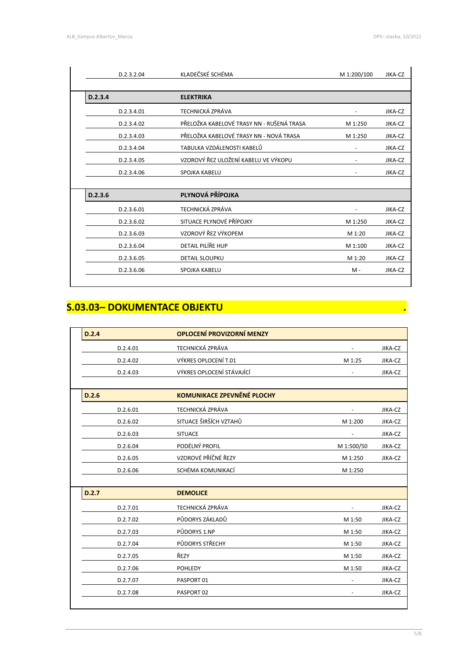| D.2.3.2.04 | KLADEČSKÉ SCHÉMA                          | M 1:200/100 | JIKA-CZ |
|------------|-------------------------------------------|-------------|---------|
| D.2.3.4    | <b>ELEKTRIKA</b>                          |             |         |
| D.2.3.4.01 | TECHNICKÁ ZPRÁVA                          |             | JIKA-CZ |
| D.2.3.4.02 | PŘELOŽKA KABELOVÉ TRASY NN - RUŠENÁ TRASA | M 1:250     | JIKA-CZ |
| D.2.3.4.03 | PŘELOŽKA KABELOVÉ TRASY NN - NOVÁ TRASA   | M 1:250     | JIKA-CZ |
| D.2.3.4.04 | TABULKA VZDÁLENOSTI KABELŮ                |             | JIKA-CZ |
| D.2.3.4.05 | VZOROVÝ ŘEZ ULOŽENÍ KABELU VE VÝKOPU      |             | JIKA-CZ |
| D.2.3.4.06 | SPOJKA KABELU                             |             | JIKA-CZ |
| D.2.3.6    | PLYNOVÁ PŘÍPOJKA                          |             |         |
| D.2.3.6.01 | <b>TECHNICKÁ ZPRÁVA</b>                   |             | JIKA-CZ |
| D.2.3.6.02 | SITUACE PLYNOVÉ PŘÍPOJKY                  | M 1:250     | JIKA-CZ |
| D.2.3.6.03 | VZOROVÝ ŘEZ VÝKOPEM                       | M 1:20      | JIKA-CZ |
| D.2.3.6.04 | DETAIL PILÍŘE HUP                         | M 1:100     | JIKA-CZ |
| D.2.3.6.05 | DETAIL SLOUPKU                            | M 1:20      | JIKA-CZ |
| D.2.3.6.06 | SPOJKA KABELU                             | $M -$       | JIKA-CZ |

### **S.03.03– DOKUMENTACE OBJEKTU .**

|  | D.2.4    | <b>OPLOCENÍ PROVIZORNÍ MENZY</b> |                          |         |
|--|----------|----------------------------------|--------------------------|---------|
|  | D.2.4.01 | TECHNICKÁ ZPRÁVA                 |                          | JIKA-CZ |
|  | D.2.4.02 | VÝKRES OPLOCENÍ T.01             | M 1:25                   | JIKA-CZ |
|  | D.2.4.03 | VÝKRES OPLOCENÍ STÁVAJÍCÍ        |                          | JIKA-CZ |
|  |          |                                  |                          |         |
|  | D.2.6    | KOMUNIKACE ZPEVNĚNÉ PLOCHY       |                          |         |
|  | D.2.6.01 | TECHNICKÁ ZPRÁVA                 |                          | JIKA-CZ |
|  | D.2.6.02 | SITUACE ŠIRŠÍCH VZTAHŮ           | M 1:200                  | JIKA-CZ |
|  | D.2.6.03 | <b>SITUACE</b>                   |                          | JIKA-CZ |
|  | D.2.6.04 | PODÉLNÝ PROFIL                   | M 1:500/50               | JIKA-CZ |
|  | D.2.6.05 | VZOROVÉ PŘÍČNÉ ŘEZY              | M 1:250                  | JIKA-CZ |
|  | D.2.6.06 | SCHÉMA KOMUNIKACÍ                | M 1:250                  |         |
|  |          |                                  |                          |         |
|  | D.2.7    | <b>DEMOLICE</b>                  |                          |         |
|  | D.2.7.01 | TECHNICKÁ ZPRÁVA                 |                          | JIKA-CZ |
|  | D.2.7.02 | PŮDORYS ZÁKLADŮ                  | M 1:50                   | JIKA-CZ |
|  | D.2.7.03 | PŮDORYS 1.NP                     | M 1:50                   | JIKA-CZ |
|  | D.2.7.04 | PŮDORYS STŘECHY                  | M 1:50                   | JIKA-CZ |
|  | D.2.7.05 | ŘEZY                             | M 1:50                   | JIKA-CZ |
|  | D.2.7.06 | <b>POHLEDY</b>                   | M 1:50                   | JIKA-CZ |
|  | D.2.7.07 | PASPORT 01                       | $\overline{\phantom{a}}$ | JIKA-CZ |
|  | D.2.7.08 | PASPORT 02                       | $\overline{\phantom{a}}$ | JIKA-CZ |
|  |          |                                  |                          |         |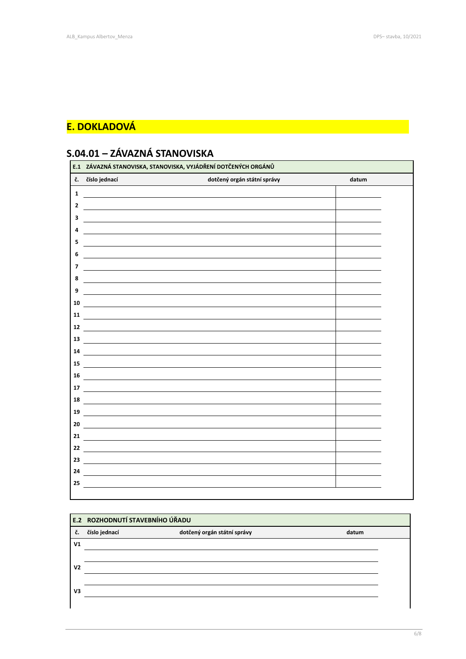#### **E. DOKLADOVÁ**

# **S.04.01 – ZÁVAZNÁ STANOVISKA**

|    | E.1 ZÁVAZNÁ STANOVISKA, STANOVISKA, VYJÁDŘENÍ DOTČENÝCH ORGÁNŮ                                                       |                             |       |  |  |
|----|----------------------------------------------------------------------------------------------------------------------|-----------------------------|-------|--|--|
| č. | číslo jednací                                                                                                        | dotčený orgán státní správy | datum |  |  |
| 1  |                                                                                                                      |                             |       |  |  |
| 2  |                                                                                                                      |                             |       |  |  |
| 3  |                                                                                                                      |                             |       |  |  |
| 4  |                                                                                                                      |                             |       |  |  |
| 5  |                                                                                                                      |                             |       |  |  |
| 6  |                                                                                                                      |                             |       |  |  |
| 7  |                                                                                                                      |                             |       |  |  |
| 8  |                                                                                                                      |                             |       |  |  |
| 9  |                                                                                                                      |                             |       |  |  |
| 10 |                                                                                                                      |                             |       |  |  |
| 11 |                                                                                                                      |                             |       |  |  |
| 12 | <u> 1980 - Johann Barnett, fransk politik (f. 1980)</u>                                                              |                             |       |  |  |
| 13 |                                                                                                                      |                             |       |  |  |
| 14 |                                                                                                                      |                             |       |  |  |
| 15 |                                                                                                                      |                             |       |  |  |
| 16 |                                                                                                                      |                             |       |  |  |
| 17 |                                                                                                                      |                             |       |  |  |
| 18 | <u> 1989 - Johann Barnett, fransk politiker (d. 1989)</u>                                                            |                             |       |  |  |
| 19 |                                                                                                                      |                             |       |  |  |
| 20 | <u> 1980 - Jan Samuel Barbara, martin da shekara 1980 - An tsara 1980 - An tsara 1980 - An tsara 1980 - An tsara</u> |                             |       |  |  |
| 21 |                                                                                                                      |                             |       |  |  |
| 22 |                                                                                                                      |                             |       |  |  |
| 23 | <u> 1989 - Johann Stein, mars an deus Amerikaansk kommunister (* 1958)</u>                                           |                             |       |  |  |
| 24 |                                                                                                                      |                             |       |  |  |
| 25 |                                                                                                                      |                             |       |  |  |

|                | E.2 ROZHODNUTÍ STAVEBNÍHO ÚŘADU |                             |       |  |  |
|----------------|---------------------------------|-----------------------------|-------|--|--|
| č.             | číslo jednací                   | dotčený orgán státní správy | datum |  |  |
| V <sub>1</sub> |                                 |                             |       |  |  |
|                |                                 |                             |       |  |  |
| V <sub>2</sub> |                                 |                             |       |  |  |
|                |                                 |                             |       |  |  |
| V3             |                                 |                             |       |  |  |
|                |                                 |                             |       |  |  |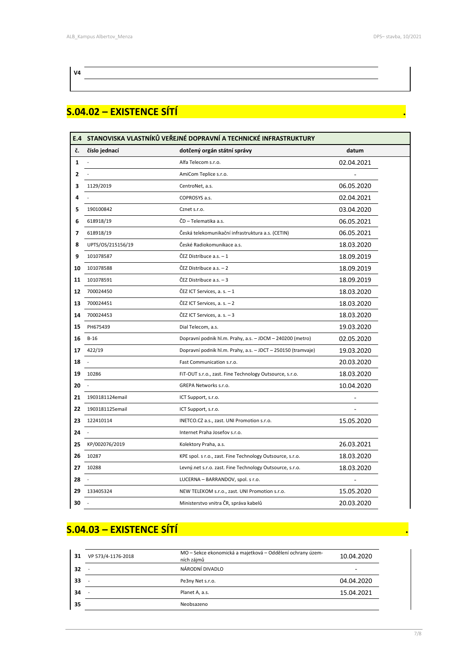#### **V4**

#### **S.04.02 – EXISTENCE SÍTÍ .**

|              | E.4 STANOVISKA VLASTNÍKŮ VEŘEJNÉ DOPRAVNÍ A TECHNICKÉ INFRASTRUKTURY |                                                              |            |  |  |
|--------------|----------------------------------------------------------------------|--------------------------------------------------------------|------------|--|--|
| č.           | číslo jednací                                                        | dotčený orgán státní správy                                  | datum      |  |  |
| $\mathbf{1}$ |                                                                      | Alfa Telecom s.r.o.                                          | 02.04.2021 |  |  |
| 2            |                                                                      | AmiCom Teplice s.r.o.                                        |            |  |  |
| з            | 1129/2019                                                            | CentroNet, a.s.                                              | 06.05.2020 |  |  |
| 4            |                                                                      | COPROSYS a.s.                                                | 02.04.2021 |  |  |
| 5            | 190100842                                                            | Cznet s.r.o.                                                 | 03.04.2020 |  |  |
| 6            | 618918/19                                                            | ČD - Telematika a.s.                                         | 06.05.2021 |  |  |
| 7            | 618918/19                                                            | Česká telekomunikační infrastruktura a.s. (CETIN)            | 06.05.2021 |  |  |
| 8            | UPTS/OS/215156/19                                                    | České Radiokomunikace a.s.                                   | 18.03.2020 |  |  |
| 9            | 101078587                                                            | ČEZ Distribuce a.s. - 1                                      | 18.09.2019 |  |  |
| 10           | 101078588                                                            | ČEZ Distribuce a.s. - 2                                      | 18.09.2019 |  |  |
| 11           | 101078591                                                            | ČEZ Distribuce a.s. - 3                                      | 18.09.2019 |  |  |
| 12           | 700024450                                                            | ČEZ ICT Services, a. s. $-1$                                 | 18.03.2020 |  |  |
| 13           | 700024451                                                            | ČEZ ICT Services, a. s. $-2$                                 | 18.03.2020 |  |  |
| 14           | 700024453                                                            | ČEZ ICT Services, a. s. $-3$                                 | 18.03.2020 |  |  |
| 15           | PH675439                                                             | Dial Telecom, a.s.                                           | 19.03.2020 |  |  |
| 16           | $B-16$                                                               | Dopravní podnik hl.m. Prahy, a.s. - JDCM - 240200 (metro)    | 02.05.2020 |  |  |
| 17           | 422/19                                                               | Dopravní podnik hl.m. Prahy, a.s. - JDCT - 250150 (tramvaje) | 19.03.2020 |  |  |
| 18           |                                                                      | Fast Communication s.r.o.                                    | 20.03.2020 |  |  |
| 19           | 10286                                                                | FIT-OUT s.r.o., zast. Fine Technology Outsource, s.r.o.      | 18.03.2020 |  |  |
| 20           |                                                                      | GREPA Networks s.r.o.                                        | 10.04.2020 |  |  |
| 21           | 1903181124email                                                      | ICT Support, s.r.o.                                          |            |  |  |
| 22           | 1903181125email                                                      | ICT Support, s.r.o.                                          |            |  |  |
| 23           | 122410114                                                            | INETCO.CZ a.s., zast. UNI Promotion s.r.o.                   | 15.05.2020 |  |  |
| 24           |                                                                      | Internet Praha Josefov s.r.o.                                |            |  |  |
| 25           | KP/002076/2019                                                       | Kolektory Praha, a.s.                                        | 26.03.2021 |  |  |
| 26           | 10287                                                                | KPE spol. s r.o., zast. Fine Technology Outsource, s.r.o.    | 18.03.2020 |  |  |
| 27           | 10288                                                                | Levný.net s.r.o. zast. Fine Technology Outsource, s.r.o.     | 18.03.2020 |  |  |
| 28           |                                                                      | LUCERNA - BARRANDOV, spol. s r.o.                            |            |  |  |
| 29           | 133405324                                                            | NEW TELEKOM s.r.o., zast. UNI Promotion s.r.o.               | 15.05.2020 |  |  |
| 30           |                                                                      | Ministerstvo vnitra ČR, správa kabelů                        | 20.03.2020 |  |  |

### **S.04.03 – EXISTENCE SÍTÍ .**

| 31 | VP 573/4-1176-2018       | MO – Sekce ekonomická a majetková – Oddělení ochrany územ-<br>ních zájmů | 10.04.2020 |
|----|--------------------------|--------------------------------------------------------------------------|------------|
| 32 | $\overline{\phantom{a}}$ | NÁRODNÍ DIVADLO                                                          | -          |
| 33 | $\overline{\phantom{a}}$ | Pe3ny Net s.r.o.                                                         | 04.04.2020 |
| 34 |                          | Planet A, a.s.                                                           | 15.04.2021 |
| 35 |                          | Neobsazeno                                                               |            |
|    |                          |                                                                          |            |